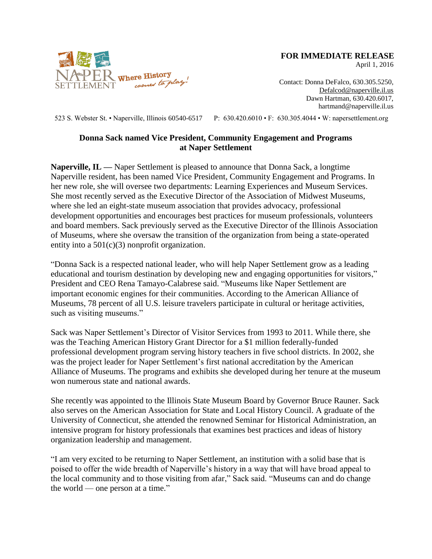

**FOR IMMEDIATE RELEASE**

April 1, 2016

Contact: Donna DeFalco, 630.305.5250, [Defalcod@naperville.il.us](mailto:Defalcod@naperville.il.us) Dawn Hartman, 630.420.6017, hartmand@naperville.il.us

523 S. Webster St. • Naperville, Illinois 60540-6517 P: 630.420.6010 • F: 630.305.4044 • W: napersettlement.org

## **Donna Sack named Vice President, Community Engagement and Programs at Naper Settlement**

**Naperville, IL —** Naper Settlement is pleased to announce that Donna Sack, a longtime Naperville resident, has been named Vice President, Community Engagement and Programs. In her new role, she will oversee two departments: Learning Experiences and Museum Services. She most recently served as the Executive Director of the Association of Midwest Museums, where she led an eight-state museum association that provides advocacy, professional development opportunities and encourages best practices for museum professionals, volunteers and board members. Sack previously served as the Executive Director of the Illinois Association of Museums, where she oversaw the transition of the organization from being a state-operated entity into a  $501(c)(3)$  nonprofit organization.

"Donna Sack is a respected national leader, who will help Naper Settlement grow as a leading educational and tourism destination by developing new and engaging opportunities for visitors," President and CEO Rena Tamayo-Calabrese said. "Museums like Naper Settlement are important economic engines for their communities. According to the American Alliance of Museums, 78 percent of all U.S. leisure travelers participate in cultural or heritage activities, such as visiting museums."

Sack was Naper Settlement's Director of Visitor Services from 1993 to 2011. While there, she was the Teaching American History Grant Director for a \$1 million federally-funded professional development program serving history teachers in five school districts. In 2002, she was the project leader for Naper Settlement's first national accreditation by the American Alliance of Museums. The programs and exhibits she developed during her tenure at the museum won numerous state and national awards.

She recently was appointed to the Illinois State Museum Board by Governor Bruce Rauner. Sack also serves on the American Association for State and Local History Council. A graduate of the University of Connecticut, she attended the renowned Seminar for Historical Administration, an intensive program for history professionals that examines best practices and ideas of history organization leadership and management.

"I am very excited to be returning to Naper Settlement, an institution with a solid base that is poised to offer the wide breadth of Naperville's history in a way that will have broad appeal to the local community and to those visiting from afar," Sack said. "Museums can and do change the world — one person at a time."